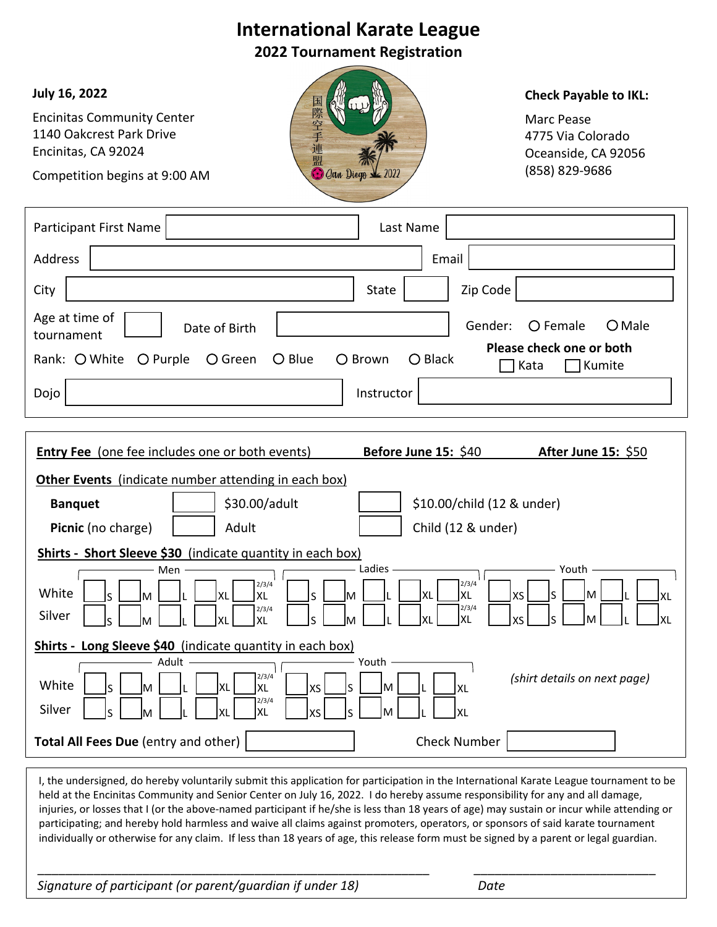## **International Karate League 2022 Tournament Registration July 16, 2022 Check Payable to IKL:** Encinitas Community Center Marc Pease 1140 Oakcrest Park Drive 4775 Via Colorado Encinitas, CA 92024 Oceanside, CA 92056 (858) 829‐9686 **Gan Diege** Competition begins at 9:00 AM Participant First Name | New York 1990 | Last Name Address | Email | Email | Email | Email | Email | Email | Email | Email | Email | City State Zip Code Age at time of  $\Box$  Date of Birth  $\Box$  Gender: Gender: Female Male Date of Birth tournament **Please check one or both** Rank: O White O Purple O Green O Blue O Brown O Black  $\sqcap$  Kata  $\qquad \sqcap$  Kumite Dojo Instructor **Entry Fee** (one fee includes one or both events) **Before June 15:** \$40 **After June 15:** \$50 **Other Events** (indicate number attending in each box) **Banquet**  $\begin{vmatrix} 1 & 1 \\ 2 & 30.00/a\text{d} \end{vmatrix}$  | \$10.00/child (12 & under) **Picnic** (no charge)  $\begin{vmatrix} 1 & 1 \\ 1 & 1 \end{vmatrix}$  Adult  $\begin{vmatrix} 1 & 1 \\ 1 & 1 \end{vmatrix}$  Child (12 & under) **Shirts ‐ Short Sleeve \$30** (indicate quantity in each box) Ladies  $\overline{\phantom{a}}$  Youth Men 2/3/4 2/3/4 White  $\begin{bmatrix} S & M \end{bmatrix}$   $\begin{bmatrix} \cdot & \cdot & \cdot \\ \cdot & \cdot & \cdot \\ \cdot & \cdot & \cdot \end{bmatrix}$  xL  $\begin{bmatrix} 2/3, \\ XL \end{bmatrix}$ s | \_\_]m | \_\_\_]L |\_\_\_\_]XL XL XS S M L XL  $M \bigsqcup L \bigsqcup XL$ S 2/3/4 2/3/4 Silver XL | S | M | L | L | XL XL XS S M L XL S M L XL **Shirts ‐ Long Sleeve \$40** (indicate quantity in each box) Adult Youth 2/3/4 *(shirt details on next page)*White XL S | \_\_]M |\_\_\_\_]L |\_\_\_\_]XL  $\operatorname{\mathsf{x}}\mathsf{s}\,\lfloor\,\,\rfloor$ S  $\lfloor\,\,\rfloor$ M  $\lfloor\,\,\rfloor$ L  $\lfloor\,\,\rfloor$ XL 2/3/4 Silver XL  $\begin{array}{c} \mathsf{x} \mathsf{s} \,\begin{array}{|c|c|c|}\end{array} \end{array} \begin{array}{c} \mathsf{s} \,\begin{array}{|c|c|c|}\end{array} \begin{array}{|c|c|c|}\end{array} \begin{array}{|c|c|c|}\end{array} \begin{array}{|c|c|c|}\end{array} \begin{array}{|c|c|c|}\end{array} \begin{array}{|c|c|c|}\end{array} \begin{array}{|c|c|c|}\end{array} \begin{array}{|c|c|c|}\end{array} \begin{array}{|c|c|c|}\end{array} \begin{array}{|c|c|c|}\end$ S \_\_\_]M \_\_\_\_]L \_\_\_\_]XL **Total All Fees Due** (entry and other) Check Number I, the undersigned, do hereby voluntarily submit this application for participation in the International Karate League tournament to be held at the Encinitas Community and Senior Center on July 16, 2022. I do hereby assume responsibility for any and all damage, injuries, or losses that I (or the above-named participant if he/she is less than 18 years of age) may sustain or incur while attending or participating; and hereby hold harmless and waive all claims against promoters, operators, or sponsors of said karate tournament individually or otherwise for any claim. If less than 18 years of age, this release form must be signed by a parent or legal guardian. \_\_\_\_\_\_\_\_\_\_\_\_\_\_\_\_\_\_\_\_\_\_\_\_\_\_\_\_\_\_\_\_\_\_\_\_\_\_\_\_\_\_\_\_\_\_\_\_\_\_\_\_\_\_\_\_ \_\_\_\_\_\_\_\_\_\_\_\_\_\_\_\_\_\_\_\_\_\_\_\_\_\_ *Signature of participant (or parent/guardian if under 18) Date*